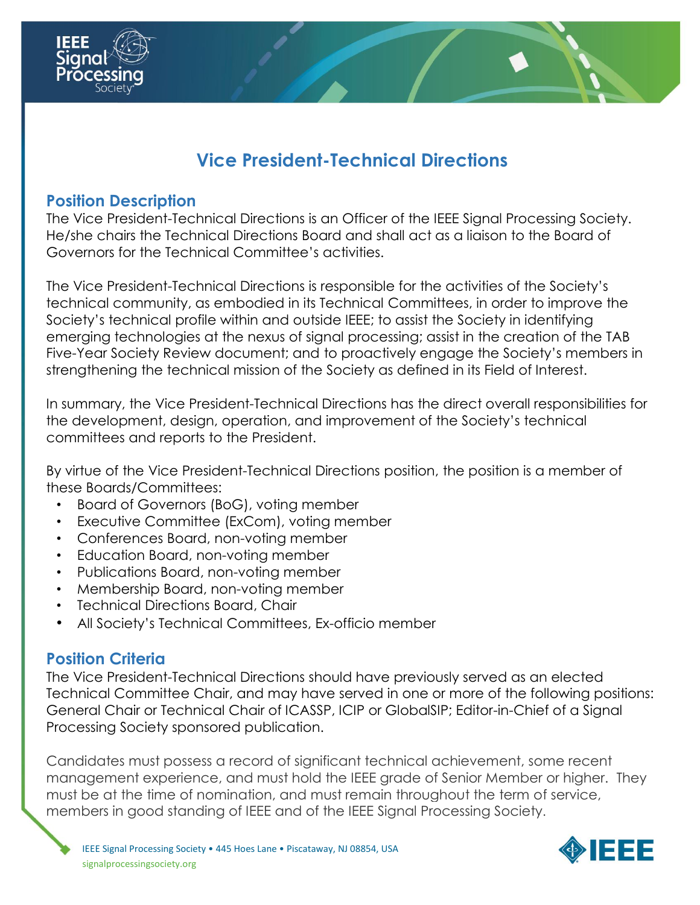

# **Vice President-Technical Directions**

#### **Position Description**

The Vice President-Technical Directions is an Officer of the IEEE Signal Processing Society. He/she chairs the Technical Directions Board and shall act as a liaison to the Board of Governors for the Technical Committee's activities.

The Vice President-Technical Directions is responsible for the activities of the Society's technical community, as embodied in its Technical Committees, in order to improve the Society's technical profile within and outside IEEE; to assist the Society in identifying emerging technologies at the nexus of signal processing; assist in the creation of the TAB Five-Year Society Review document; and to proactively engage the Society's members in strengthening the technical mission of the Society as defined in its Field of Interest.

In summary, the Vice President-Technical Directions has the direct overall responsibilities for the development, design, operation, and improvement of the Society's technical committees and reports to the President.

By virtue of the Vice President-Technical Directions position, the position is a member of these Boards/Committees:

- Board of Governors (BoG), voting member
- Executive Committee (ExCom), voting member
- Conferences Board, non-voting member
- Education Board, non-voting member
- Publications Board, non-voting member
- Membership Board, non-voting member
- Technical Directions Board, Chair
- All Society's Technical Committees, Ex-officio member

## **Position Criteria**

The Vice President-Technical Directions should have previously served as an elected Technical Committee Chair, and may have served in one or more of the following positions: General Chair or Technical Chair of ICASSP, ICIP or GlobalSIP; Editor-in-Chief of a Signal Processing Society sponsored publication.

Candidates must possess a record of significant technical achievement, some recent management experience, and must hold the IEEE grade of Senior Member or higher. They must be at the time of nomination, and must remain throughout the term of service, members in good standing of IEEE and of the IEEE Signal Processing Society.

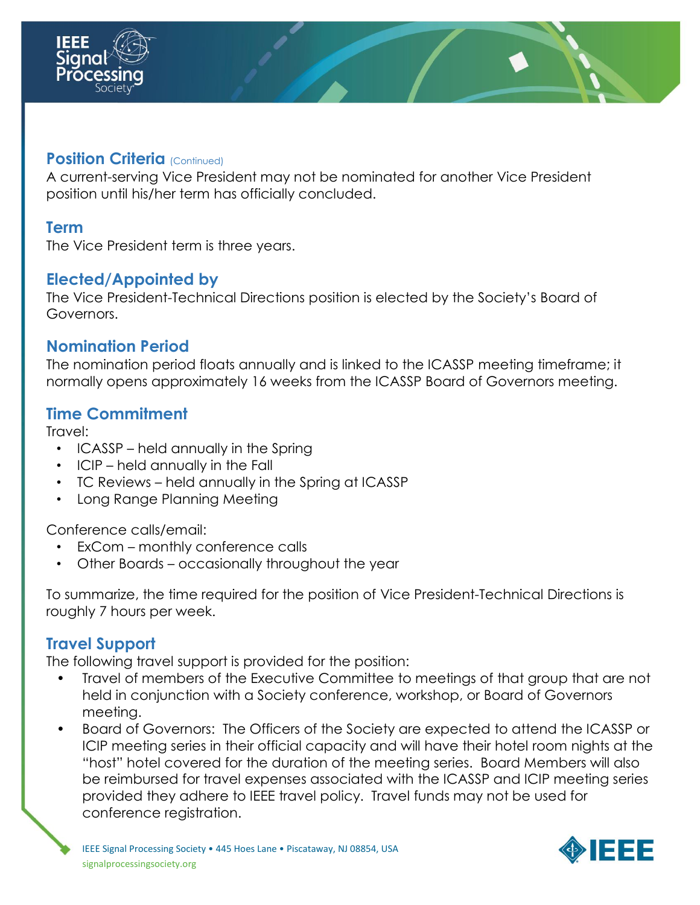

#### **Position Criteria** (Continued)

A current-serving Vice President may not be nominated for another Vice President position until his/her term has officially concluded.

#### **Term**

The Vice President term is three years.

#### **Elected/Appointed by**

The Vice President-Technical Directions position is elected by the Society's Board of Governors.

#### **Nomination Period**

The nomination period floats annually and is linked to the ICASSP meeting timeframe; it normally opens approximately 16 weeks from the ICASSP Board of Governors meeting.

#### **Time Commitment**

Travel:

- ICASSP held annually in the Spring
- ICIP held annually in the Fall
- TC Reviews held annually in the Spring at ICASSP
- Long Range Planning Meeting

Conference calls/email:

- ExCom monthly conference calls
- Other Boards occasionally throughout the year

To summarize, the time required for the position of Vice President-Technical Directions is roughly 7 hours per week.

### **Travel Support**

The following travel support is provided for the position:

- Travel of members of the Executive Committee to meetings of that group that are not held in conjunction with a Society conference, workshop, or Board of Governors meeting.
- Board of Governors: The Officers of the Society are expected to attend the ICASSP or ICIP meeting series in their official capacity and will have their hotel room nights at the "host" hotel covered for the duration of the meeting series. Board Members will also be reimbursed for travel expenses associated with the ICASSP and ICIP meeting series provided they adhere to IEEE travel policy. Travel funds may not be used for conference registration.